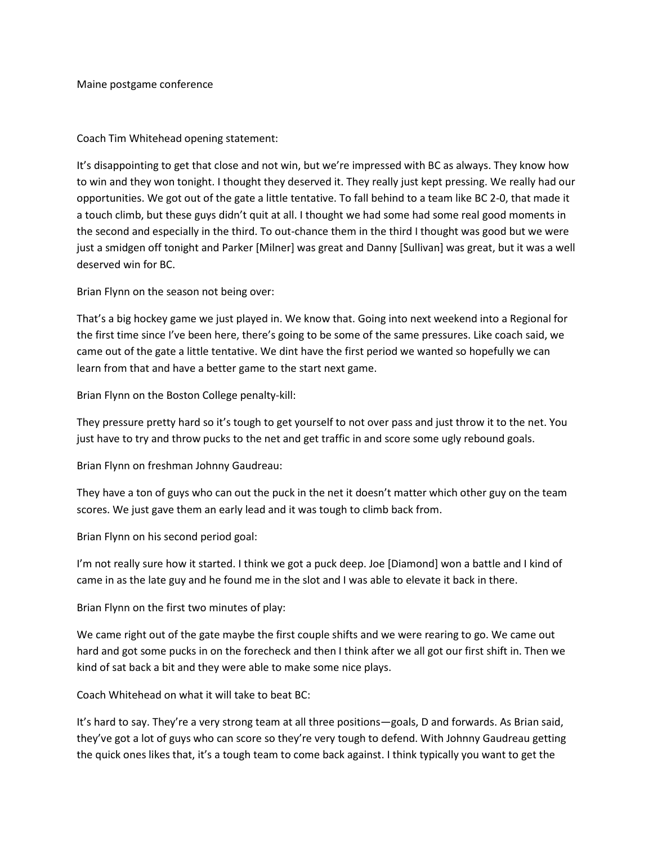Maine postgame conference

Coach Tim Whitehead opening statement:

It's disappointing to get that close and not win, but we're impressed with BC as always. They know how to win and they won tonight. I thought they deserved it. They really just kept pressing. We really had our opportunities. We got out of the gate a little tentative. To fall behind to a team like BC 2-0, that made it a touch climb, but these guys didn't quit at all. I thought we had some had some real good moments in the second and especially in the third. To out-chance them in the third I thought was good but we were just a smidgen off tonight and Parker [Milner] was great and Danny [Sullivan] was great, but it was a well deserved win for BC.

Brian Flynn on the season not being over:

That's a big hockey game we just played in. We know that. Going into next weekend into a Regional for the first time since I've been here, there's going to be some of the same pressures. Like coach said, we came out of the gate a little tentative. We dint have the first period we wanted so hopefully we can learn from that and have a better game to the start next game.

Brian Flynn on the Boston College penalty-kill:

They pressure pretty hard so it's tough to get yourself to not over pass and just throw it to the net. You just have to try and throw pucks to the net and get traffic in and score some ugly rebound goals.

Brian Flynn on freshman Johnny Gaudreau:

They have a ton of guys who can out the puck in the net it doesn't matter which other guy on the team scores. We just gave them an early lead and it was tough to climb back from.

Brian Flynn on his second period goal:

I'm not really sure how it started. I think we got a puck deep. Joe [Diamond] won a battle and I kind of came in as the late guy and he found me in the slot and I was able to elevate it back in there.

Brian Flynn on the first two minutes of play:

We came right out of the gate maybe the first couple shifts and we were rearing to go. We came out hard and got some pucks in on the forecheck and then I think after we all got our first shift in. Then we kind of sat back a bit and they were able to make some nice plays.

Coach Whitehead on what it will take to beat BC:

It's hard to say. They're a very strong team at all three positions—goals, D and forwards. As Brian said, they've got a lot of guys who can score so they're very tough to defend. With Johnny Gaudreau getting the quick ones likes that, it's a tough team to come back against. I think typically you want to get the